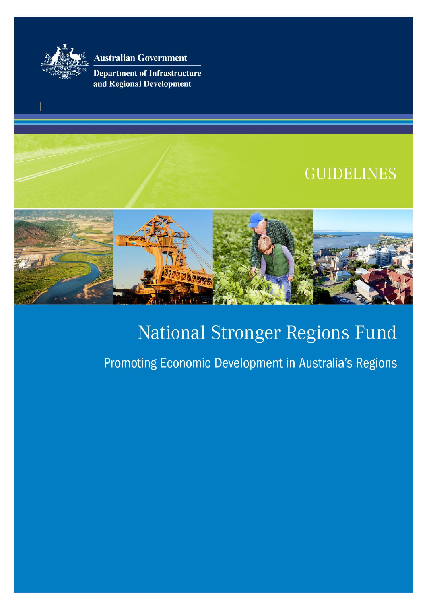

**Australian Government** 

**Department of Infrastructure** and Regional Development

# **GUIDELINES**



# National Stronger Regions Fund

# Promoting Economic Development in Australia's Regions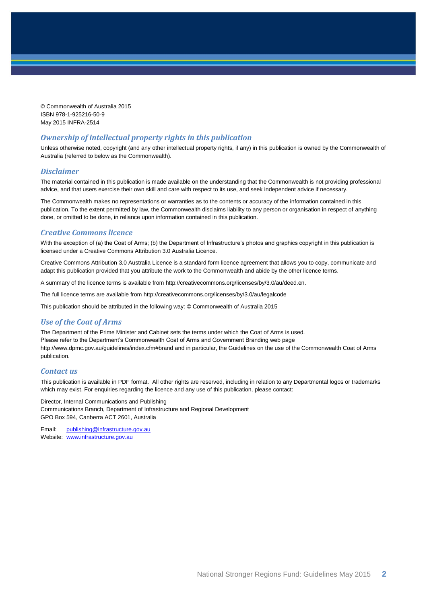© Commonwealth of Australia 2015 ISBN 978-1-925216-50-9 May 2015 INFRA-2514

#### *Ownership of intellectual property rights in this publication*

Unless otherwise noted, copyright (and any other intellectual property rights, if any) in this publication is owned by the Commonwealth of Australia (referred to below as the Commonwealth).

#### *Disclaimer*

The material contained in this publication is made available on the understanding that the Commonwealth is not providing professional advice, and that users exercise their own skill and care with respect to its use, and seek independent advice if necessary.

The Commonwealth makes no representations or warranties as to the contents or accuracy of the information contained in this publication. To the extent permitted by law, the Commonwealth disclaims liability to any person or organisation in respect of anything done, or omitted to be done, in reliance upon information contained in this publication.

#### *Creative Commons licence*

With the exception of (a) the Coat of Arms; (b) the Department of Infrastructure's photos and graphics copyright in this publication is licensed under a Creative Commons Attribution 3.0 Australia Licence.

Creative Commons Attribution 3.0 Australia Licence is a standard form licence agreement that allows you to copy, communicate and adapt this publication provided that you attribute the work to the Commonwealth and abide by the other licence terms.

A summary of the licence terms is available from [http://creativecommons.org/licenses/by/3.0/au/deed.en.](http://creativecommons.org/licenses/by/3.0/au/deed.en)

The full licence terms are available from<http://creativecommons.org/licenses/by/3.0/au/legalcode>

This publication should be attributed in the following way: © Commonwealth of Australia 2015

#### *Use of the Coat of Arms*

The Department of the Prime Minister and Cabinet sets the terms under which the Coat of Arms is used. Please refer to the Department's Commonwealth Coat of Arms and Government Branding web page <http://www.dpmc.gov.au/guidelines/index.cfm#brand> and in particular, the Guidelines on the use of the Commonwealth Coat of Arms publication.

#### *Contact us*

This publication is available in PDF format. All other rights are reserved, including in relation to any Departmental logos or trademarks which may exist. For enquiries regarding the licence and any use of this publication, please contact:

Director, Internal Communications and Publishing Communications Branch, Department of Infrastructure and Regional Development GPO Box 594, Canberra ACT 2601, Australia

Email: [publishing@infrastructure.gov.au](mailto:publishing@infrastructure.gov.au) Website: [www.infrastructure.gov.au](http://www.infrastructure.gov.au/)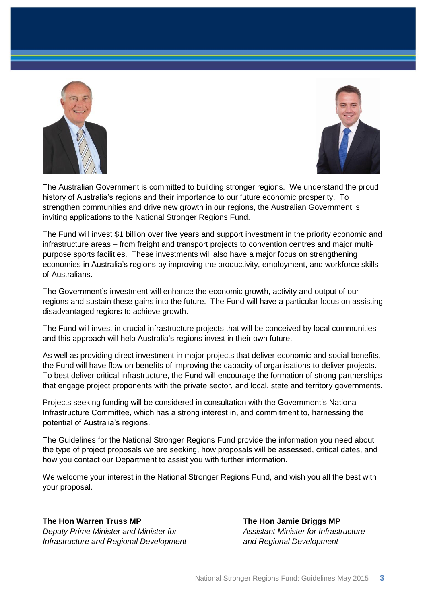



The Australian Government is committed to building stronger regions. We understand the proud history of Australia's regions and their importance to our future economic prosperity. To strengthen communities and drive new growth in our regions, the Australian Government is inviting applications to the National Stronger Regions Fund.

The Fund will invest \$1 billion over five years and support investment in the priority economic and infrastructure areas – from freight and transport projects to convention centres and major multipurpose sports facilities. These investments will also have a major focus on strengthening economies in Australia's regions by improving the productivity, employment, and workforce skills of Australians.

The Government's investment will enhance the economic growth, activity and output of our regions and sustain these gains into the future. The Fund will have a particular focus on assisting disadvantaged regions to achieve growth.

The Fund will invest in crucial infrastructure projects that will be conceived by local communities – and this approach will help Australia's regions invest in their own future.

As well as providing direct investment in major projects that deliver economic and social benefits, the Fund will have flow on benefits of improving the capacity of organisations to deliver projects. To best deliver critical infrastructure, the Fund will encourage the formation of strong partnerships that engage project proponents with the private sector, and local, state and territory governments.

Projects seeking funding will be considered in consultation with the Government's National Infrastructure Committee, which has a strong interest in, and commitment to, harnessing the potential of Australia's regions.

The Guidelines for the National Stronger Regions Fund provide the information you need about the type of project proposals we are seeking, how proposals will be assessed, critical dates, and how you contact our Department to assist you with further information.

We welcome your interest in the National Stronger Regions Fund, and wish you all the best with your proposal.

#### **The Hon Warren Truss MP The Hon Jamie Briggs MP**

*Deputy Prime Minister and Minister for Assistant Minister for Infrastructure Infrastructure and Regional Development and Regional Development*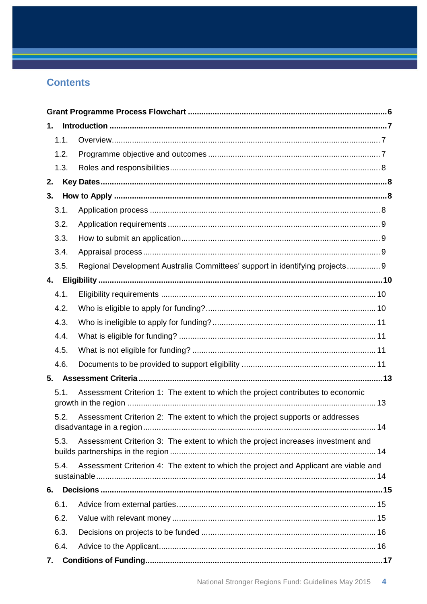# **Contents**

| 1.   |                                                                                      |  |
|------|--------------------------------------------------------------------------------------|--|
| 1.1. |                                                                                      |  |
| 1.2. |                                                                                      |  |
| 1.3. |                                                                                      |  |
| 2.   |                                                                                      |  |
| 3.   |                                                                                      |  |
| 3.1. |                                                                                      |  |
| 3.2. |                                                                                      |  |
| 3.3. |                                                                                      |  |
| 3.4. |                                                                                      |  |
| 3.5. | Regional Development Australia Committees' support in identifying projects 9         |  |
| 4.   |                                                                                      |  |
| 4.1. |                                                                                      |  |
| 4.2. |                                                                                      |  |
| 4.3. |                                                                                      |  |
| 4.4. |                                                                                      |  |
| 4.5. |                                                                                      |  |
| 4.6. |                                                                                      |  |
| 5.   |                                                                                      |  |
| 5.1. | Assessment Criterion 1: The extent to which the project contributes to economic      |  |
| 5.2. | Assessment Criterion 2: The extent to which the project supports or addresses        |  |
| 5.3. | Assessment Criterion 3: The extent to which the project increases investment and     |  |
| 5.4. | Assessment Criterion 4: The extent to which the project and Applicant are viable and |  |
| 6.   |                                                                                      |  |
| 6.1. |                                                                                      |  |
| 6.2. |                                                                                      |  |
| 6.3. |                                                                                      |  |
| 6.4. |                                                                                      |  |
| 7.   |                                                                                      |  |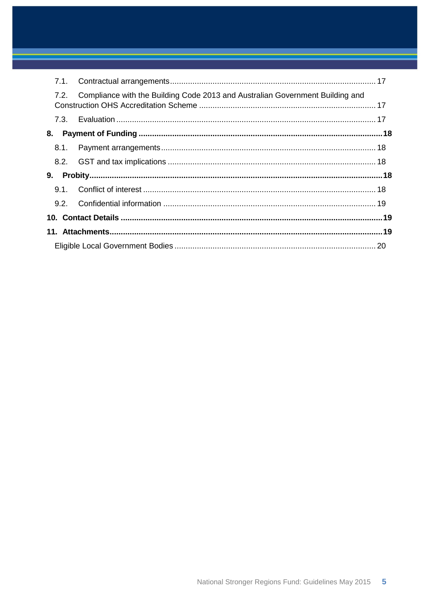| 7.1. |                                                                               |  |
|------|-------------------------------------------------------------------------------|--|
| 7.2. | Compliance with the Building Code 2013 and Australian Government Building and |  |
|      |                                                                               |  |
| 8.   |                                                                               |  |
| 8.1. |                                                                               |  |
|      |                                                                               |  |
| 9.   |                                                                               |  |
|      |                                                                               |  |
|      |                                                                               |  |
|      |                                                                               |  |
|      |                                                                               |  |
|      |                                                                               |  |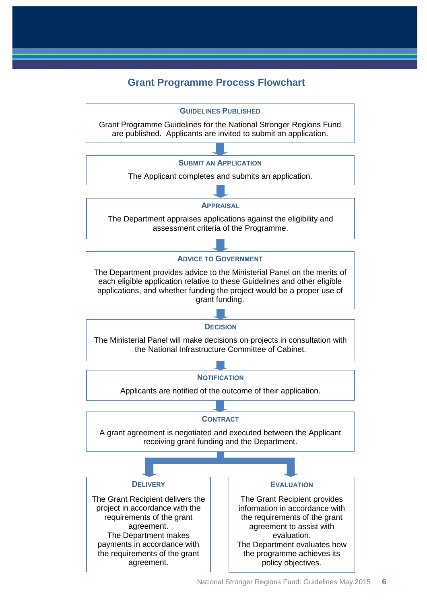# **Grant Programme Process Flowchart**

<span id="page-5-0"></span>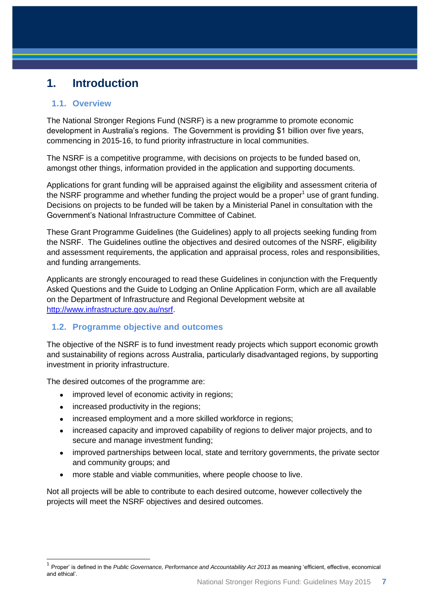# <span id="page-6-0"></span>**1. Introduction**

### <span id="page-6-1"></span>**1.1. Overview**

The National Stronger Regions Fund (NSRF) is a new programme to promote economic development in Australia's regions. The Government is providing \$1 billion over five years, commencing in 2015-16, to fund priority infrastructure in local communities.

The NSRF is a competitive programme, with decisions on projects to be funded based on, amongst other things, information provided in the application and supporting documents.

Applications for grant funding will be appraised against the eligibility and assessment criteria of the NSRF programme and whether funding the project would be a proper<sup>1</sup> use of grant funding. Decisions on projects to be funded will be taken by a Ministerial Panel in consultation with the Government's National Infrastructure Committee of Cabinet.

These Grant Programme Guidelines (the Guidelines) apply to all projects seeking funding from the NSRF. The Guidelines outline the objectives and desired outcomes of the NSRF, eligibility and assessment requirements, the application and appraisal process, roles and responsibilities, and funding arrangements.

Applicants are strongly encouraged to read these Guidelines in conjunction with the Frequently Asked Questions and the Guide to Lodging an Online Application Form, which are all available on the Department of Infrastructure and Regional Development website at [http://www.infrastructure.gov.au/nsrf.](http://www.infrastructure.gov.au/nsrf)

# <span id="page-6-2"></span>**1.2. Programme objective and outcomes**

The objective of the NSRF is to fund investment ready projects which support economic growth and sustainability of regions across Australia, particularly disadvantaged regions, by supporting investment in priority infrastructure.

The desired outcomes of the programme are:

- improved level of economic activity in regions;
- increased productivity in the regions;

- increased employment and a more skilled workforce in regions;
- increased capacity and improved capability of regions to deliver major projects, and to secure and manage investment funding;
- improved partnerships between local, state and territory governments, the private sector and community groups; and
- more stable and viable communities, where people choose to live.

Not all projects will be able to contribute to each desired outcome, however collectively the projects will meet the NSRF objectives and desired outcomes.

<sup>&</sup>lt;sup>1</sup> Proper' is defined in the *Public Governance, Performance and Accountability Act 2013* as meaning 'efficient, effective, economical and ethical'.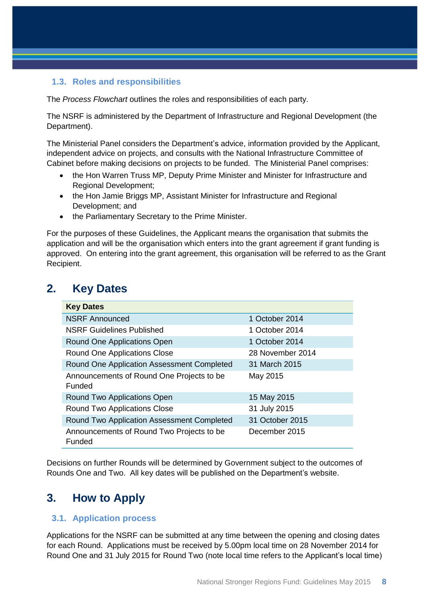### <span id="page-7-0"></span>**1.3. Roles and responsibilities**

The *Process Flowchart* outlines the roles and responsibilities of each party.

The NSRF is administered by the Department of Infrastructure and Regional Development (the Department).

The Ministerial Panel considers the Department's advice, information provided by the Applicant, independent advice on projects, and consults with the National Infrastructure Committee of Cabinet before making decisions on projects to be funded. The Ministerial Panel comprises:

- the Hon Warren Truss MP, Deputy Prime Minister and Minister for Infrastructure and Regional Development;
- the Hon Jamie Briggs MP, Assistant Minister for Infrastructure and Regional Development; and
- the Parliamentary Secretary to the Prime Minister.

For the purposes of these Guidelines, the Applicant means the organisation that submits the application and will be the organisation which enters into the grant agreement if grant funding is approved. On entering into the grant agreement, this organisation will be referred to as the Grant Recipient.

# <span id="page-7-1"></span>**2. Key Dates**

| <b>Key Dates</b>                                           |                  |
|------------------------------------------------------------|------------------|
| <b>NSRF Announced</b>                                      | 1 October 2014   |
| <b>NSRF Guidelines Published</b>                           | 1 October 2014   |
| Round One Applications Open                                | 1 October 2014   |
| <b>Round One Applications Close</b>                        | 28 November 2014 |
| Round One Application Assessment Completed                 | 31 March 2015    |
| Announcements of Round One Projects to be<br><b>Funded</b> | May 2015         |
| Round Two Applications Open                                | 15 May 2015      |
| <b>Round Two Applications Close</b>                        | 31 July 2015     |
| Round Two Application Assessment Completed                 | 31 October 2015  |
| Announcements of Round Two Projects to be<br>Funded        | December 2015    |

Decisions on further Rounds will be determined by Government subject to the outcomes of Rounds One and Two. All key dates will be published on the Department's website.

# <span id="page-7-2"></span>**3. How to Apply**

### <span id="page-7-3"></span>**3.1. Application process**

Applications for the NSRF can be submitted at any time between the opening and closing dates for each Round. Applications must be received by 5.00pm local time on 28 November 2014 for Round One and 31 July 2015 for Round Two (note local time refers to the Applicant's local time)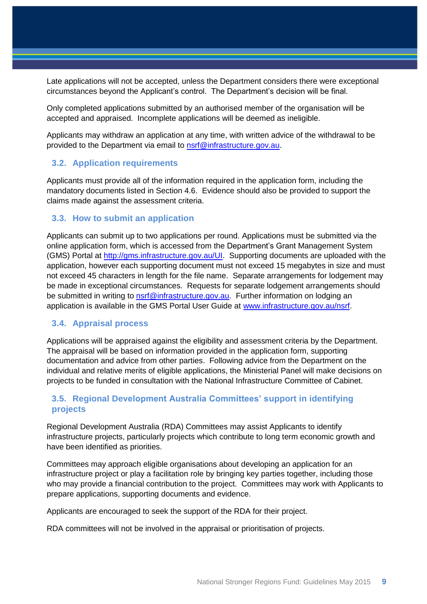Late applications will not be accepted, unless the Department considers there were exceptional circumstances beyond the Applicant's control. The Department's decision will be final.

Only completed applications submitted by an authorised member of the organisation will be accepted and appraised. Incomplete applications will be deemed as ineligible.

Applicants may withdraw an application at any time, with written advice of the withdrawal to be provided to the Department via email to [nsrf@infrastructure.gov.au.](mailto:nsrf@infrastructure.gov.au)

#### <span id="page-8-0"></span>**3.2. Application requirements**

Applicants must provide all of the information required in the application form, including the mandatory documents listed in Section 4.6. Evidence should also be provided to support the claims made against the assessment criteria.

#### <span id="page-8-1"></span>**3.3. How to submit an application**

Applicants can submit up to two applications per round. Applications must be submitted via the online application form, which is accessed from the Department's Grant Management System (GMS) Portal at [http://gms.infrastructure.gov.au/UI.](http://gms.infrastructure.gov.au/UI) Supporting documents are uploaded with the application, however each supporting document must not exceed 15 megabytes in size and must not exceed 45 characters in length for the file name. Separate arrangements for lodgement may be made in exceptional circumstances. Requests for separate lodgement arrangements should be submitted in writing to [nsrf@infrastructure.gov.au.](file:///C:/Users/pelliott/Desktop/nsrf@infrastructure.gov.au) Further information on lodging an application is available in the GMS Portal User Guide at [www.infrastructure.gov.au/nsrf.](http://www.infrastructure.gov.au/nsrf)

#### <span id="page-8-2"></span>**3.4. Appraisal process**

Applications will be appraised against the eligibility and assessment criteria by the Department. The appraisal will be based on information provided in the application form, supporting documentation and advice from other parties. Following advice from the Department on the individual and relative merits of eligible applications, the Ministerial Panel will make decisions on projects to be funded in consultation with the National Infrastructure Committee of Cabinet.

## <span id="page-8-3"></span>**3.5. Regional Development Australia Committees' support in identifying projects**

Regional Development Australia (RDA) Committees may assist Applicants to identify infrastructure projects, particularly projects which contribute to long term economic growth and have been identified as priorities.

Committees may approach eligible organisations about developing an application for an infrastructure project or play a facilitation role by bringing key parties together, including those who may provide a financial contribution to the project. Committees may work with Applicants to prepare applications, supporting documents and evidence.

Applicants are encouraged to seek the support of the RDA for their project.

RDA committees will not be involved in the appraisal or prioritisation of projects.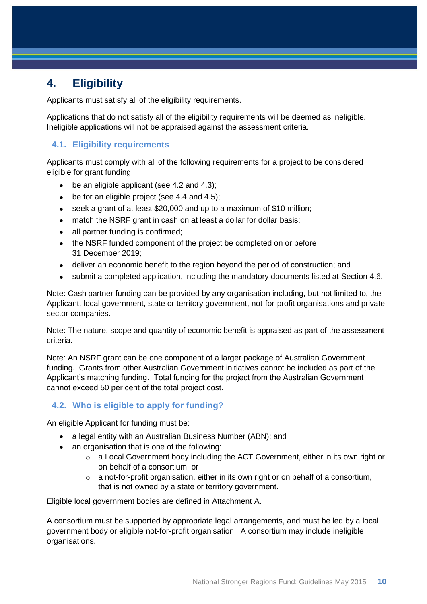# <span id="page-9-0"></span>**4. Eligibility**

Applicants must satisfy all of the eligibility requirements.

Applications that do not satisfy all of the eligibility requirements will be deemed as ineligible. Ineligible applications will not be appraised against the assessment criteria.

# <span id="page-9-1"></span>**4.1. Eligibility requirements**

Applicants must comply with all of the following requirements for a project to be considered eligible for grant funding:

- be an eligible applicant (see 4.2 and 4.3);
- $\bullet$  be for an eligible project (see 4.4 and 4.5);
- seek a grant of at least \$20,000 and up to a maximum of \$10 million;
- match the NSRF grant in cash on at least a dollar for dollar basis;
- all partner funding is confirmed;
- the NSRF funded component of the project be completed on or before 31 December 2019;
- deliver an economic benefit to the region beyond the period of construction; and
- submit a completed application, including the mandatory documents listed at Section 4.6.

Note: Cash partner funding can be provided by any organisation including, but not limited to, the Applicant, local government, state or territory government, not-for-profit organisations and private sector companies.

Note: The nature, scope and quantity of economic benefit is appraised as part of the assessment criteria.

Note: An NSRF grant can be one component of a larger package of Australian Government funding. Grants from other Australian Government initiatives cannot be included as part of the Applicant's matching funding. Total funding for the project from the Australian Government cannot exceed 50 per cent of the total project cost.

# <span id="page-9-2"></span>**4.2. Who is eligible to apply for funding?**

An eligible Applicant for funding must be:

- a legal entity with an Australian Business Number (ABN): and
- an organisation that is one of the following:
	- o a Local Government body including the ACT Government, either in its own right or on behalf of a consortium; or
	- $\circ$  a not-for-profit organisation, either in its own right or on behalf of a consortium, that is not owned by a state or territory government.

Eligible local government bodies are defined in Attachment A.

A consortium must be supported by appropriate legal arrangements, and must be led by a local government body or eligible not-for-profit organisation. A consortium may include ineligible organisations.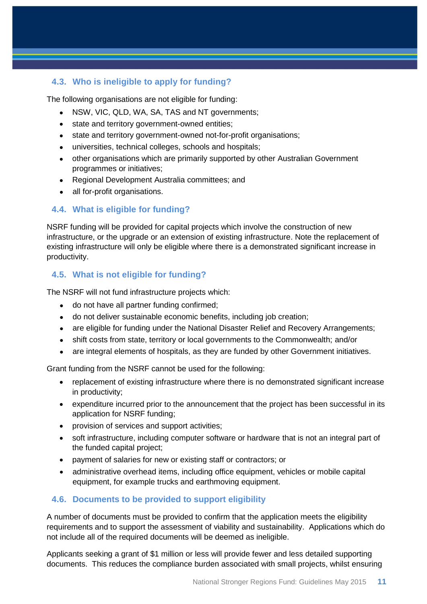# <span id="page-10-0"></span>**4.3. Who is ineligible to apply for funding?**

The following organisations are not eligible for funding:

- NSW, VIC, QLD, WA, SA, TAS and NT governments;
- state and territory government-owned entities;
- state and territory government-owned not-for-profit organisations;
- universities, technical colleges, schools and hospitals;
- other organisations which are primarily supported by other Australian Government programmes or initiatives;
- Regional Development Australia committees; and
- all for-profit organisations.

## <span id="page-10-1"></span>**4.4. What is eligible for funding?**

NSRF funding will be provided for capital projects which involve the construction of new infrastructure, or the upgrade or an extension of existing infrastructure. Note the replacement of existing infrastructure will only be eligible where there is a demonstrated significant increase in productivity.

### <span id="page-10-2"></span>**4.5. What is not eligible for funding?**

The NSRF will not fund infrastructure projects which:

- do not have all partner funding confirmed;
- do not deliver sustainable economic benefits, including job creation;
- are eligible for funding under the National Disaster Relief and Recovery Arrangements:
- shift costs from state, territory or local governments to the Commonwealth; and/or
- are integral elements of hospitals, as they are funded by other Government initiatives.

Grant funding from the NSRF cannot be used for the following:

- replacement of existing infrastructure where there is no demonstrated significant increase in productivity;
- expenditure incurred prior to the announcement that the project has been successful in its application for NSRF funding;
- provision of services and support activities;
- soft infrastructure, including computer software or hardware that is not an integral part of the funded capital project;
- payment of salaries for new or existing staff or contractors; or
- administrative overhead items, including office equipment, vehicles or mobile capital equipment, for example trucks and earthmoving equipment.

# <span id="page-10-3"></span>**4.6. Documents to be provided to support eligibility**

A number of documents must be provided to confirm that the application meets the eligibility requirements and to support the assessment of viability and sustainability. Applications which do not include all of the required documents will be deemed as ineligible.

Applicants seeking a grant of \$1 million or less will provide fewer and less detailed supporting documents. This reduces the compliance burden associated with small projects, whilst ensuring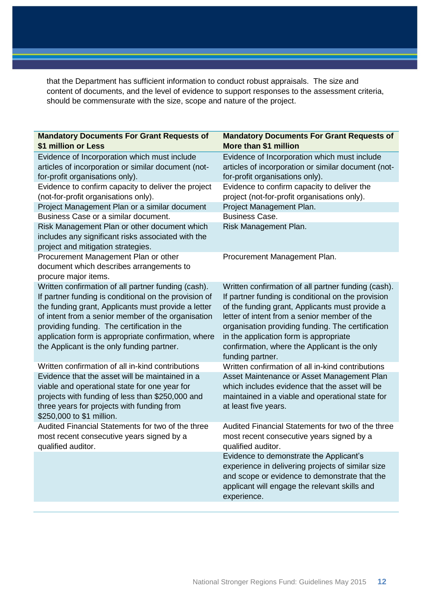that the Department has sufficient information to conduct robust appraisals. The size and content of documents, and the level of evidence to support responses to the assessment criteria, should be commensurate with the size, scope and nature of the project.

| <b>Mandatory Documents For Grant Requests of</b><br>More than \$1 million                                                                                                                                                                                                                                                                                                        |
|----------------------------------------------------------------------------------------------------------------------------------------------------------------------------------------------------------------------------------------------------------------------------------------------------------------------------------------------------------------------------------|
| Evidence of Incorporation which must include<br>articles of incorporation or similar document (not-<br>for-profit organisations only).                                                                                                                                                                                                                                           |
| Evidence to confirm capacity to deliver the<br>project (not-for-profit organisations only).                                                                                                                                                                                                                                                                                      |
| Project Management Plan.                                                                                                                                                                                                                                                                                                                                                         |
| <b>Business Case.</b>                                                                                                                                                                                                                                                                                                                                                            |
| Risk Management Plan.                                                                                                                                                                                                                                                                                                                                                            |
| Procurement Management Plan.                                                                                                                                                                                                                                                                                                                                                     |
| Written confirmation of all partner funding (cash).<br>If partner funding is conditional on the provision<br>of the funding grant, Applicants must provide a<br>letter of intent from a senior member of the<br>organisation providing funding. The certification<br>in the application form is appropriate<br>confirmation, where the Applicant is the only<br>funding partner. |
| Written confirmation of all in-kind contributions<br>Asset Maintenance or Asset Management Plan<br>which includes evidence that the asset will be<br>maintained in a viable and operational state for<br>at least five years.                                                                                                                                                    |
| Audited Financial Statements for two of the three<br>most recent consecutive years signed by a<br>qualified auditor.                                                                                                                                                                                                                                                             |
| Evidence to demonstrate the Applicant's<br>experience in delivering projects of similar size<br>and scope or evidence to demonstrate that the<br>applicant will engage the relevant skills and<br>experience.                                                                                                                                                                    |
|                                                                                                                                                                                                                                                                                                                                                                                  |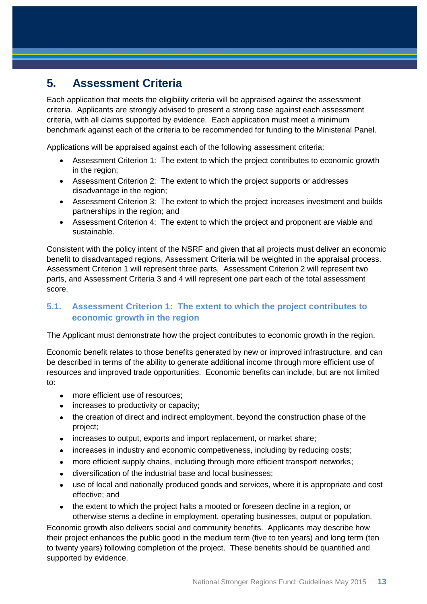# <span id="page-12-0"></span>**5. Assessment Criteria**

Each application that meets the eligibility criteria will be appraised against the assessment criteria. Applicants are strongly advised to present a strong case against each assessment criteria, with all claims supported by evidence. Each application must meet a minimum benchmark against each of the criteria to be recommended for funding to the Ministerial Panel.

Applications will be appraised against each of the following assessment criteria:

- Assessment Criterion 1: The extent to which the project contributes to economic growth in the region;
- Assessment Criterion 2: The extent to which the project supports or addresses disadvantage in the region;
- Assessment Criterion 3: The extent to which the project increases investment and builds partnerships in the region; and
- Assessment Criterion 4: The extent to which the project and proponent are viable and sustainable.

Consistent with the policy intent of the NSRF and given that all projects must deliver an economic benefit to disadvantaged regions, Assessment Criteria will be weighted in the appraisal process. Assessment Criterion 1 will represent three parts, Assessment Criterion 2 will represent two parts, and Assessment Criteria 3 and 4 will represent one part each of the total assessment score.

# <span id="page-12-1"></span>**5.1. Assessment Criterion 1: The extent to which the project contributes to economic growth in the region**

The Applicant must demonstrate how the project contributes to economic growth in the region.

Economic benefit relates to those benefits generated by new or improved infrastructure, and can be described in terms of the ability to generate additional income through more efficient use of resources and improved trade opportunities. Economic benefits can include, but are not limited to:

- more efficient use of resources:
- increases to productivity or capacity;
- the creation of direct and indirect employment, beyond the construction phase of the project;
- increases to output, exports and import replacement, or market share;
- increases in industry and economic competiveness, including by reducing costs;
- more efficient supply chains, including through more efficient transport networks;
- diversification of the industrial base and local businesses;
- use of local and nationally produced goods and services, where it is appropriate and cost effective; and
- the extent to which the project halts a mooted or foreseen decline in a region, or otherwise stems a decline in employment, operating businesses, output or population.

Economic growth also delivers social and community benefits. Applicants may describe how their project enhances the public good in the medium term (five to ten years) and long term (ten to twenty years) following completion of the project. These benefits should be quantified and supported by evidence.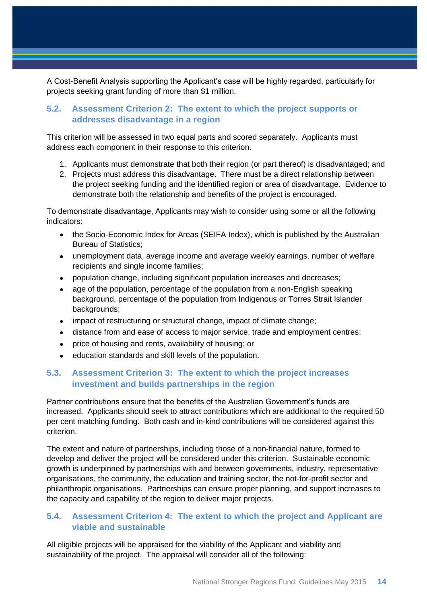A Cost-Benefit Analysis supporting the Applicant's case will be highly regarded, particularly for projects seeking grant funding of more than \$1 million.

## <span id="page-13-0"></span>**5.2. Assessment Criterion 2: The extent to which the project supports or addresses disadvantage in a region**

This criterion will be assessed in two equal parts and scored separately. Applicants must address each component in their response to this criterion.

- 1. Applicants must demonstrate that both their region (or part thereof) is disadvantaged; and
- 2. Projects must address this disadvantage. There must be a direct relationship between the project seeking funding and the identified region or area of disadvantage. Evidence to demonstrate both the relationship and benefits of the project is encouraged.

To demonstrate disadvantage, Applicants may wish to consider using some or all the following indicators:

- the Socio-Economic Index for Areas (SEIFA Index), which is published by the Australian Bureau of Statistics;
- unemployment data, average income and average weekly earnings, number of welfare recipients and single income families;
- population change, including significant population increases and decreases;
- age of the population, percentage of the population from a non-English speaking background, percentage of the population from Indigenous or Torres Strait Islander backgrounds;
- impact of restructuring or structural change, impact of climate change;
- distance from and ease of access to major service, trade and employment centres;
- price of housing and rents, availability of housing; or
- education standards and skill levels of the population.

## <span id="page-13-1"></span>**5.3. Assessment Criterion 3: The extent to which the project increases investment and builds partnerships in the region**

Partner contributions ensure that the benefits of the Australian Government's funds are increased. Applicants should seek to attract contributions which are additional to the required 50 per cent matching funding. Both cash and in-kind contributions will be considered against this criterion.

The extent and nature of partnerships, including those of a non-financial nature, formed to develop and deliver the project will be considered under this criterion. Sustainable economic growth is underpinned by partnerships with and between governments, industry, representative organisations, the community, the education and training sector, the not-for-profit sector and philanthropic organisations. Partnerships can ensure proper planning, and support increases to the capacity and capability of the region to deliver major projects.

## <span id="page-13-2"></span>**5.4. Assessment Criterion 4: The extent to which the project and Applicant are viable and sustainable**

All eligible projects will be appraised for the viability of the Applicant and viability and sustainability of the project. The appraisal will consider all of the following: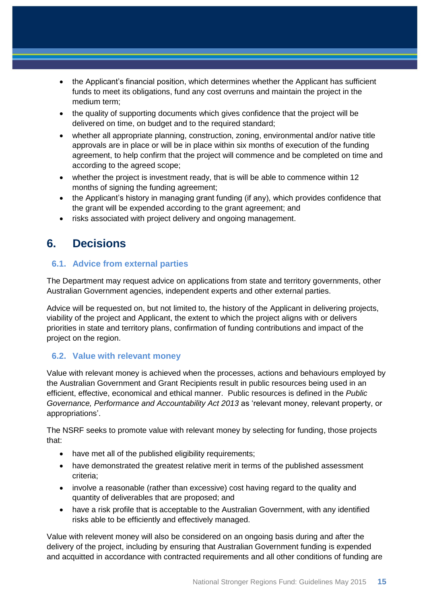- the Applicant's financial position, which determines whether the Applicant has sufficient funds to meet its obligations, fund any cost overruns and maintain the project in the medium term;
- the quality of supporting documents which gives confidence that the project will be delivered on time, on budget and to the required standard;
- whether all appropriate planning, construction, zoning, environmental and/or native title approvals are in place or will be in place within six months of execution of the funding agreement, to help confirm that the project will commence and be completed on time and according to the agreed scope;
- whether the project is investment ready, that is will be able to commence within 12 months of signing the funding agreement;
- the Applicant's history in managing grant funding (if any), which provides confidence that the grant will be expended according to the grant agreement; and
- risks associated with project delivery and ongoing management.

# <span id="page-14-0"></span>**6. Decisions**

### <span id="page-14-1"></span>**6.1. Advice from external parties**

The Department may request advice on applications from state and territory governments, other Australian Government agencies, independent experts and other external parties.

Advice will be requested on, but not limited to, the history of the Applicant in delivering projects, viability of the project and Applicant, the extent to which the project aligns with or delivers priorities in state and territory plans, confirmation of funding contributions and impact of the project on the region.

### <span id="page-14-2"></span>**6.2. Value with relevant money**

Value with relevant money is achieved when the processes, actions and behaviours employed by the Australian Government and Grant Recipients result in public resources being used in an efficient, effective, economical and ethical manner. Public resources is defined in the *Public Governance, Performance and Accountability Act 2013* as 'relevant money, relevant property, or appropriations'.

The NSRF seeks to promote value with relevant money by selecting for funding, those projects that:

- have met all of the published eligibility requirements;
- have demonstrated the greatest relative merit in terms of the published assessment criteria;
- involve a reasonable (rather than excessive) cost having regard to the quality and quantity of deliverables that are proposed; and
- have a risk profile that is acceptable to the Australian Government, with any identified risks able to be efficiently and effectively managed.

Value with relevent money will also be considered on an ongoing basis during and after the delivery of the project, including by ensuring that Australian Government funding is expended and acquitted in accordance with contracted requirements and all other conditions of funding are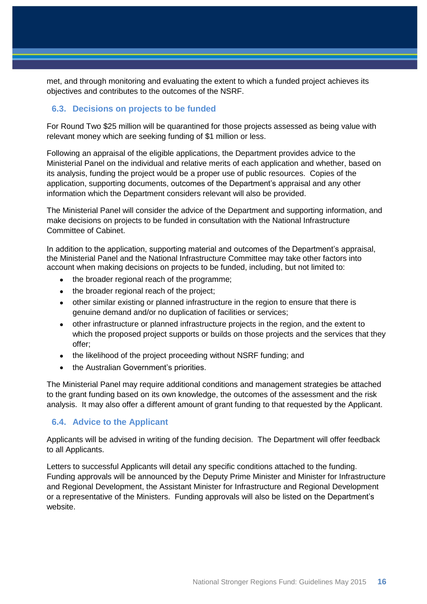met, and through monitoring and evaluating the extent to which a funded project achieves its objectives and contributes to the outcomes of the NSRF.

#### <span id="page-15-0"></span>**6.3. Decisions on projects to be funded**

For Round Two \$25 million will be quarantined for those projects assessed as being value with relevant money which are seeking funding of \$1 million or less.

Following an appraisal of the eligible applications, the Department provides advice to the Ministerial Panel on the individual and relative merits of each application and whether, based on its analysis, funding the project would be a proper use of public resources. Copies of the application, supporting documents, outcomes of the Department's appraisal and any other information which the Department considers relevant will also be provided.

The Ministerial Panel will consider the advice of the Department and supporting information, and make decisions on projects to be funded in consultation with the National Infrastructure Committee of Cabinet.

In addition to the application, supporting material and outcomes of the Department's appraisal, the Ministerial Panel and the National Infrastructure Committee may take other factors into account when making decisions on projects to be funded, including, but not limited to:

- the broader regional reach of the programme:
- the broader regional reach of the project;
- other similar existing or planned infrastructure in the region to ensure that there is genuine demand and/or no duplication of facilities or services;
- other infrastructure or planned infrastructure projects in the region, and the extent to which the proposed project supports or builds on those projects and the services that they offer;
- the likelihood of the project proceeding without NSRF funding; and
- the Australian Government's priorities.

The Ministerial Panel may require additional conditions and management strategies be attached to the grant funding based on its own knowledge, the outcomes of the assessment and the risk analysis. It may also offer a different amount of grant funding to that requested by the Applicant.

#### <span id="page-15-1"></span>**6.4. Advice to the Applicant**

Applicants will be advised in writing of the funding decision. The Department will offer feedback to all Applicants.

Letters to successful Applicants will detail any specific conditions attached to the funding. Funding approvals will be announced by the Deputy Prime Minister and Minister for Infrastructure and Regional Development, the Assistant Minister for Infrastructure and Regional Development or a representative of the Ministers. Funding approvals will also be listed on the Department's website.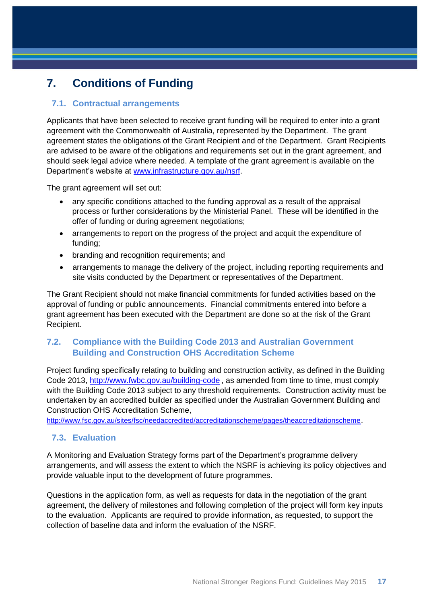# <span id="page-16-0"></span>**7. Conditions of Funding**

## <span id="page-16-1"></span>**7.1. Contractual arrangements**

Applicants that have been selected to receive grant funding will be required to enter into a grant agreement with the Commonwealth of Australia, represented by the Department. The grant agreement states the obligations of the Grant Recipient and of the Department. Grant Recipients are advised to be aware of the obligations and requirements set out in the grant agreement, and should seek legal advice where needed. A template of the grant agreement is available on the Department's website at [www.infrastructure.gov.au/nsrf.](http://www.infrastructure.gov.au/nsrf)

The grant agreement will set out:

- any specific conditions attached to the funding approval as a result of the appraisal process or further considerations by the Ministerial Panel. These will be identified in the offer of funding or during agreement negotiations;
- arrangements to report on the progress of the project and acquit the expenditure of funding;
- branding and recognition requirements; and
- arrangements to manage the delivery of the project, including reporting requirements and site visits conducted by the Department or representatives of the Department.

The Grant Recipient should not make financial commitments for funded activities based on the approval of funding or public announcements. Financial commitments entered into before a grant agreement has been executed with the Department are done so at the risk of the Grant Recipient.

# <span id="page-16-2"></span>**7.2. Compliance with the Building Code 2013 and Australian Government Building and Construction OHS Accreditation Scheme**

Project funding specifically relating to building and construction activity, as defined in the Building Code 2013, <http://www.fwbc.gov.au/building-code> , as amended from time to time, must comply with the Building Code 2013 subject to any threshold requirements. Construction activity must be undertaken by an accredited builder as specified under the Australian Government Building and Construction OHS Accreditation Scheme,

<http://www.fsc.gov.au/sites/fsc/needaccredited/accreditationscheme/pages/theaccreditationscheme>.

### <span id="page-16-3"></span>**7.3. Evaluation**

A Monitoring and Evaluation Strategy forms part of the Department's programme delivery arrangements, and will assess the extent to which the NSRF is achieving its policy objectives and provide valuable input to the development of future programmes.

Questions in the application form, as well as requests for data in the negotiation of the grant agreement, the delivery of milestones and following completion of the project will form key inputs to the evaluation. Applicants are required to provide information, as requested, to support the collection of baseline data and inform the evaluation of the NSRF.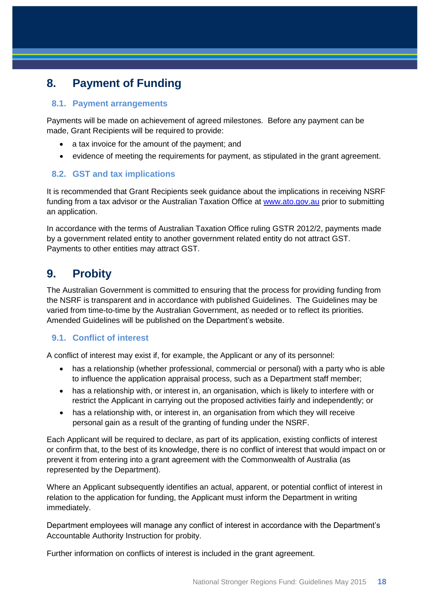# <span id="page-17-0"></span>**8. Payment of Funding**

### <span id="page-17-1"></span>**8.1. Payment arrangements**

Payments will be made on achievement of agreed milestones. Before any payment can be made, Grant Recipients will be required to provide:

- a tax invoice for the amount of the payment; and
- evidence of meeting the requirements for payment, as stipulated in the grant agreement.

## <span id="page-17-2"></span>**8.2. GST and tax implications**

It is recommended that Grant Recipients seek guidance about the implications in receiving NSRF funding from a tax advisor or the Australian Taxation Office at [www.ato.gov.au](file:///C:/Users/Klindsay/AppData/Local/Microsoft/Windows/Temporary%20Internet%20Files/Content.Outlook/1KPA6WE1/www.ato.gov.au) prior to submitting an application.

In accordance with the terms of Australian Taxation Office ruling GSTR 2012/2, payments made by a government related entity to another government related entity do not attract GST. Payments to other entities may attract GST.

# <span id="page-17-3"></span>**9. Probity**

The Australian Government is committed to ensuring that the process for providing funding from the NSRF is transparent and in accordance with published Guidelines. The Guidelines may be varied from time-to-time by the Australian Government, as needed or to reflect its priorities. Amended Guidelines will be published on the Department's website.

# <span id="page-17-4"></span>**9.1. Conflict of interest**

A conflict of interest may exist if, for example, the Applicant or any of its personnel:

- has a relationship (whether professional, commercial or personal) with a party who is able to influence the application appraisal process, such as a Department staff member;
- has a relationship with, or interest in, an organisation, which is likely to interfere with or restrict the Applicant in carrying out the proposed activities fairly and independently; or
- has a relationship with, or interest in, an organisation from which they will receive personal gain as a result of the granting of funding under the NSRF.

Each Applicant will be required to declare, as part of its application, existing conflicts of interest or confirm that, to the best of its knowledge, there is no conflict of interest that would impact on or prevent it from entering into a grant agreement with the Commonwealth of Australia (as represented by the Department).

Where an Applicant subsequently identifies an actual, apparent, or potential conflict of interest in relation to the application for funding, the Applicant must inform the Department in writing immediately.

Department employees will manage any conflict of interest in accordance with the Department's Accountable Authority Instruction for probity.

Further information on conflicts of interest is included in the grant agreement.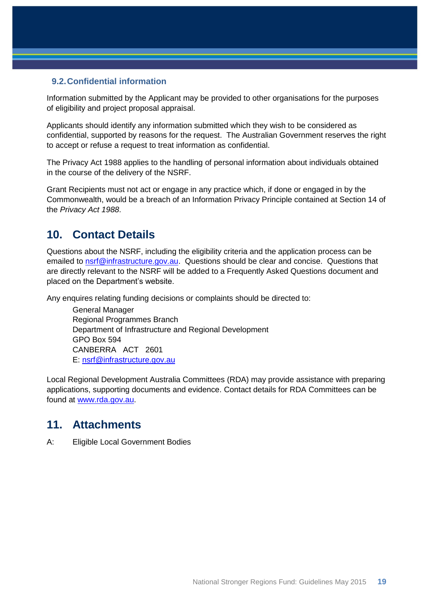### <span id="page-18-0"></span>**9.2.Confidential information**

Information submitted by the Applicant may be provided to other organisations for the purposes of eligibility and project proposal appraisal.

Applicants should identify any information submitted which they wish to be considered as confidential, supported by reasons for the request. The Australian Government reserves the right to accept or refuse a request to treat information as confidential.

The Privacy Act 1988 applies to the handling of personal information about individuals obtained in the course of the delivery of the NSRF.

Grant Recipients must not act or engage in any practice which, if done or engaged in by the Commonwealth, would be a breach of an Information Privacy Principle contained at Section 14 of the *Privacy Act 1988*.

# <span id="page-18-1"></span>**10. Contact Details**

Questions about the NSRF, including the eligibility criteria and the application process can be emailed to [nsrf@infrastructure.gov.au.](mailto:nsrf@infrastructure.gov.au) Questions should be clear and concise. Questions that are directly relevant to the NSRF will be added to a Frequently Asked Questions document and placed on the Department's website.

Any enquires relating funding decisions or complaints should be directed to:

General Manager Regional Programmes Branch Department of Infrastructure and Regional Development GPO Box 594 CANBERRA ACT 2601 E: [nsrf@infrastructure.gov.au](mailto:nsrf@infrastructure.gov.au)

Local Regional Development Australia Committees (RDA) may provide assistance with preparing applications, supporting documents and evidence. Contact details for RDA Committees can be found at [www.rda.gov.au.](file:///C:/Users/PSuthers/AppData/Local/Microsoft/Windows/Temporary%20Internet%20Files/Content.Outlook/SNC1PUJ7/www.rda.gov.au)

# <span id="page-18-2"></span>**11. Attachments**

A: Eligible Local Government Bodies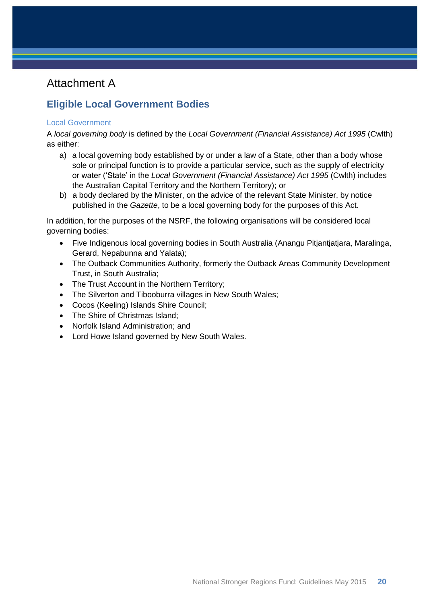# Attachment A

# <span id="page-19-0"></span>**Eligible Local Government Bodies**

#### Local Government

A *local governing body* is defined by the *Local Government (Financial Assistance) Act 1995* (Cwlth) as either:

- a) a local governing body established by or under a law of a State, other than a body whose sole or principal function is to provide a particular service, such as the supply of electricity or water ('State' in the *Local Government (Financial Assistance) Act 1995* (Cwlth) includes the Australian Capital Territory and the Northern Territory); or
- b) a body declared by the Minister, on the advice of the relevant State Minister, by notice published in the *Gazette*, to be a local governing body for the purposes of this Act.

In addition, for the purposes of the NSRF, the following organisations will be considered local governing bodies:

- Five Indigenous local governing bodies in South Australia (Anangu Pitjantjatjara, Maralinga, Gerard, Nepabunna and Yalata);
- The Outback Communities Authority, formerly the Outback Areas Community Development Trust, in South Australia;
- The Trust Account in the Northern Territory;
- The Silverton and Tibooburra villages in New South Wales;
- Cocos (Keeling) Islands Shire Council;
- The Shire of Christmas Island;
- Norfolk Island Administration; and
- Lord Howe Island governed by New South Wales.